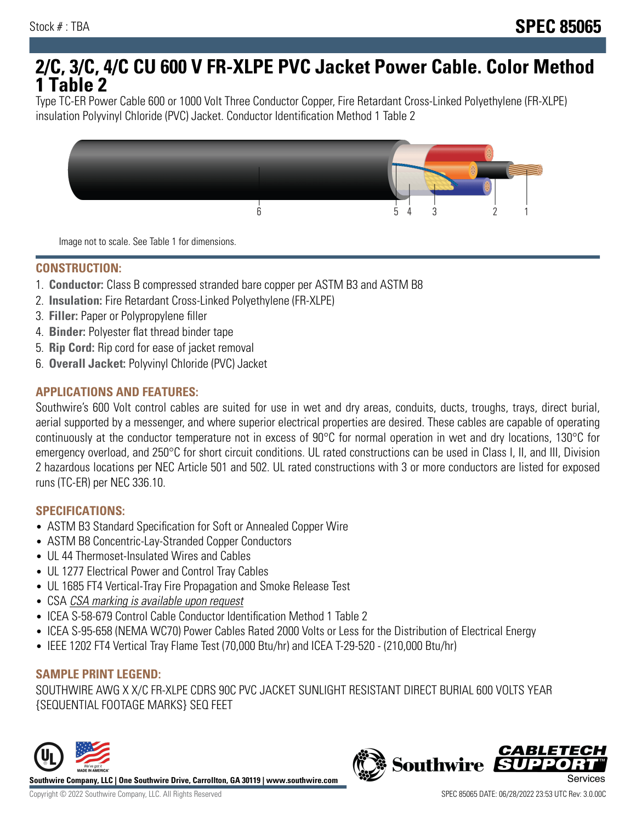# **2/C, 3/C, 4/C CU 600 V FR-XLPE PVC Jacket Power Cable. Color Method 1 Table 2**

Type TC-ER Power Cable 600 or 1000 Volt Three Conductor Copper, Fire Retardant Cross-Linked Polyethylene (FR-XLPE) insulation Polyvinyl Chloride (PVC) Jacket. Conductor Identification Method 1 Table 2



Image not to scale. See Table 1 for dimensions.

#### **CONSTRUCTION:**

- 1. **Conductor:** Class B compressed stranded bare copper per ASTM B3 and ASTM B8
- 2. **Insulation:** Fire Retardant Cross-Linked Polyethylene (FR-XLPE)
- 3. **Filler:** Paper or Polypropylene filler
- 4. **Binder:** Polyester flat thread binder tape
- 5. **Rip Cord:** Rip cord for ease of jacket removal
- 6. **Overall Jacket:** Polyvinyl Chloride (PVC) Jacket

## **APPLICATIONS AND FEATURES:**

Southwire's 600 Volt control cables are suited for use in wet and dry areas, conduits, ducts, troughs, trays, direct burial, aerial supported by a messenger, and where superior electrical properties are desired. These cables are capable of operating continuously at the conductor temperature not in excess of 90°C for normal operation in wet and dry locations, 130°C for emergency overload, and 250°C for short circuit conditions. UL rated constructions can be used in Class I, II, and III, Division 2 hazardous locations per NEC Article 501 and 502. UL rated constructions with 3 or more conductors are listed for exposed runs (TC-ER) per NEC 336.10.

#### **SPECIFICATIONS:**

- ASTM B3 Standard Specification for Soft or Annealed Copper Wire
- ASTM B8 Concentric-Lay-Stranded Copper Conductors
- UL 44 Thermoset-Insulated Wires and Cables
- UL 1277 Electrical Power and Control Tray Cables
- UL 1685 FT4 Vertical-Tray Fire Propagation and Smoke Release Test
- CSA CSA marking is available upon request
- ICEA S-58-679 Control Cable Conductor Identification Method 1 Table 2
- ICEA S-95-658 (NEMA WC70) Power Cables Rated 2000 Volts or Less for the Distribution of Electrical Energy
- IEEE 1202 FT4 Vertical Tray Flame Test (70,000 Btu/hr) and ICEA T-29-520 (210,000 Btu/hr)

#### **SAMPLE PRINT LEGEND:**

SOUTHWIRE AWG X X/C FR-XLPE CDRS 90C PVC JACKET SUNLIGHT RESISTANT DIRECT BURIAL 600 VOLTS YEAR {SEQUENTIAL FOOTAGE MARKS} SEQ FEET